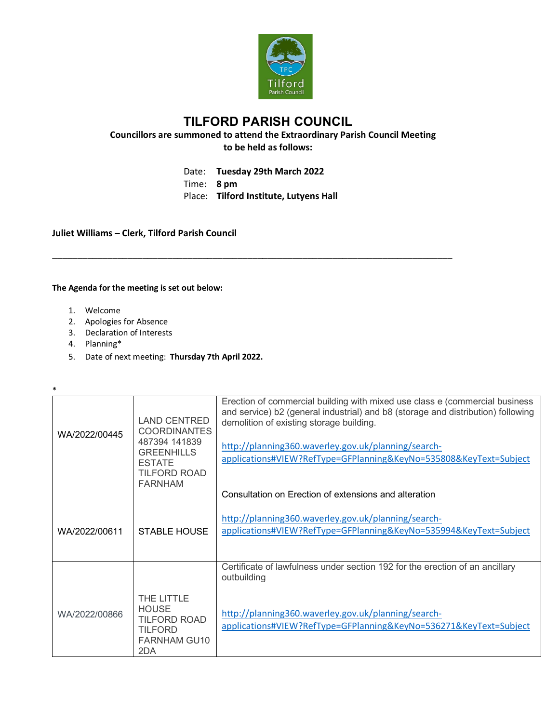

**TILFORD PARISH COUNCIL Councillors are summoned to attend the Extraordinary Parish Council Meeting to be held as follows:**

Date: **Tuesday 29th March 2022**

\_\_\_\_\_\_\_\_\_\_\_\_\_\_\_\_\_\_\_\_\_\_\_\_\_\_\_\_\_\_\_\_\_\_\_\_\_\_\_\_\_\_\_\_\_\_\_\_\_\_\_\_\_\_\_\_\_\_\_\_\_\_\_\_\_\_\_\_\_\_\_\_\_\_\_\_\_\_\_\_

Time: **8 pm**

Place: **Tilford Institute, Lutyens Hall**

**Juliet Williams – Clerk, Tilford Parish Council**

**The Agenda for the meeting is set out below:**

- 1. Welcome
- 2. Apologies for Absence
- 3. Declaration of Interests
- 4. Planning\*

\*

5. Date of next meeting: **Thursday 7th April 2022.**

| WA/2022/00445 | <b>LAND CENTRED</b><br><b>COORDINANTES</b><br>487394 141839<br><b>GREENHILLS</b><br><b>ESTATE</b><br><b>TILFORD ROAD</b><br><b>FARNHAM</b> | Erection of commercial building with mixed use class e (commercial business<br>and service) b2 (general industrial) and b8 (storage and distribution) following<br>demolition of existing storage building.<br>http://planning360.waverley.gov.uk/planning/search-<br>applications#VIEW?RefType=GFPlanning&KeyNo=535808&KeyText=Subject |
|---------------|--------------------------------------------------------------------------------------------------------------------------------------------|-----------------------------------------------------------------------------------------------------------------------------------------------------------------------------------------------------------------------------------------------------------------------------------------------------------------------------------------|
| WA/2022/00611 | <b>STABLE HOUSE</b>                                                                                                                        | Consultation on Erection of extensions and alteration<br>http://planning360.waverley.gov.uk/planning/search-<br>applications#VIEW?RefType=GFPlanning&KeyNo=535994&KeyText=Subject                                                                                                                                                       |
|               |                                                                                                                                            | Certificate of lawfulness under section 192 for the erection of an ancillary                                                                                                                                                                                                                                                            |
| WA/2022/00866 | THE LITTLE<br><b>HOUSE</b><br><b>TILFORD ROAD</b><br><b>TILFORD</b><br><b>FARNHAM GU10</b><br>2DA                                          | outbuilding<br>http://planning360.waverley.gov.uk/planning/search-<br>applications#VIEW?RefType=GFPlanning&KeyNo=536271&KeyText=Subject                                                                                                                                                                                                 |